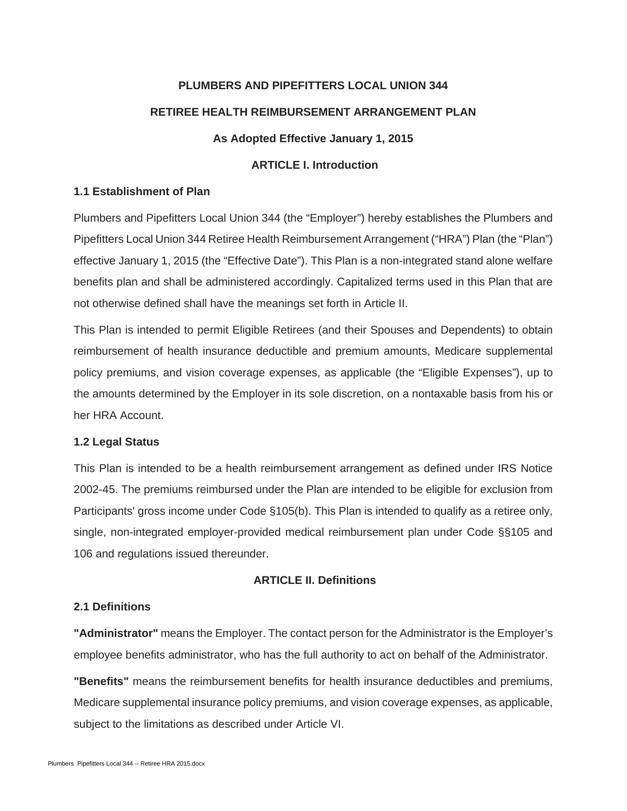# **PLUMBERS AND PIPEFITTERS LOCAL UNION 344 RETIREE HEALTH REIMBURSEMENT ARRANGEMENT PLAN**

# **As Adopted Effective January 1, 2015**

# **ARTICLE I. Introduction**

#### **1.1 Establishment of Plan**

Plumbers and Pipefitters Local Union 344 (the "Employer") hereby establishes the Plumbers and Pipefitters Local Union 344 Retiree Health Reimbursement Arrangement ("HRA") Plan (the "Plan") effective January 1, 2015 (the "Effective Date"). This Plan is a non-integrated stand alone welfare benefits plan and shall be administered accordingly. Capitalized terms used in this Plan that are not otherwise defined shall have the meanings set forth in Article II.

This Plan is intended to permit Eligible Retirees (and their Spouses and Dependents) to obtain reimbursement of health insurance deductible and premium amounts, Medicare supplemental policy premiums, and vision coverage expenses, as applicable (the "Eligible Expenses"), up to the amounts determined by the Employer in its sole discretion, on a nontaxable basis from his or her HRA Account.

#### **1.2 Legal Status**

This Plan is intended to be a health reimbursement arrangement as defined under IRS Notice 2002-45. The premiums reimbursed under the Plan are intended to be eligible for exclusion from Participants' gross income under Code §105(b). This Plan is intended to qualify as a retiree only, single, non-integrated employer-provided medical reimbursement plan under Code §§105 and 106 and regulations issued thereunder.

# **ARTICLE II. Definitions**

#### **2.1 Definitions**

**"Administrator"** means the Employer. The contact person for the Administrator is the Employer's employee benefits administrator, who has the full authority to act on behalf of the Administrator.

**"Benefits"** means the reimbursement benefits for health insurance deductibles and premiums, Medicare supplemental insurance policy premiums, and vision coverage expenses, as applicable, subject to the limitations as described under Article VI.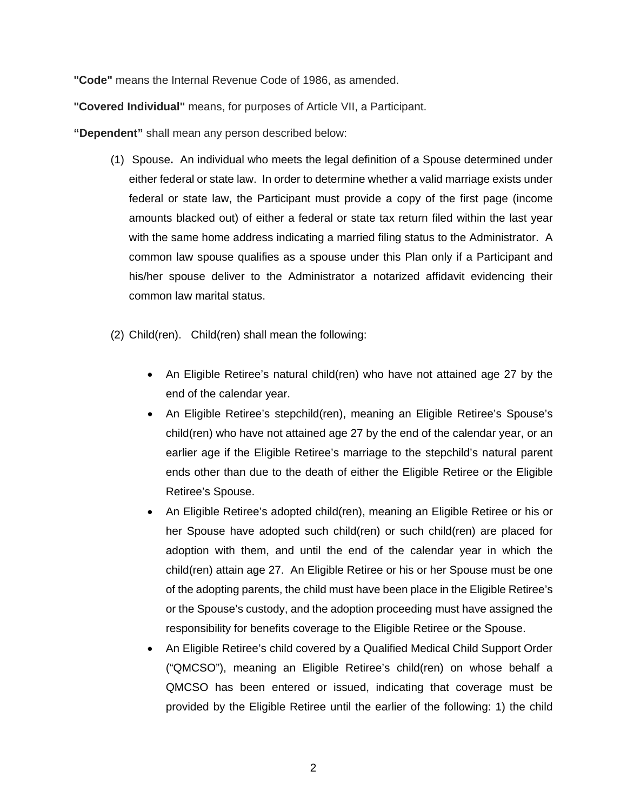**"Code"** means the Internal Revenue Code of 1986, as amended.

**"Covered Individual"** means, for purposes of Article VII, a Participant.

**"Dependent"** shall mean any person described below:

- (1) Spouse**.** An individual who meets the legal definition of a Spouse determined under either federal or state law. In order to determine whether a valid marriage exists under federal or state law, the Participant must provide a copy of the first page (income amounts blacked out) of either a federal or state tax return filed within the last year with the same home address indicating a married filing status to the Administrator. A common law spouse qualifies as a spouse under this Plan only if a Participant and his/her spouse deliver to the Administrator a notarized affidavit evidencing their common law marital status.
- (2) Child(ren). Child(ren) shall mean the following:
	- An Eligible Retiree's natural child(ren) who have not attained age 27 by the end of the calendar year.
	- An Eligible Retiree's stepchild(ren), meaning an Eligible Retiree's Spouse's child(ren) who have not attained age 27 by the end of the calendar year, or an earlier age if the Eligible Retiree's marriage to the stepchild's natural parent ends other than due to the death of either the Eligible Retiree or the Eligible Retiree's Spouse.
	- An Eligible Retiree's adopted child(ren), meaning an Eligible Retiree or his or her Spouse have adopted such child(ren) or such child(ren) are placed for adoption with them, and until the end of the calendar year in which the child(ren) attain age 27. An Eligible Retiree or his or her Spouse must be one of the adopting parents, the child must have been place in the Eligible Retiree's or the Spouse's custody, and the adoption proceeding must have assigned the responsibility for benefits coverage to the Eligible Retiree or the Spouse.
	- An Eligible Retiree's child covered by a Qualified Medical Child Support Order ("QMCSO"), meaning an Eligible Retiree's child(ren) on whose behalf a QMCSO has been entered or issued, indicating that coverage must be provided by the Eligible Retiree until the earlier of the following: 1) the child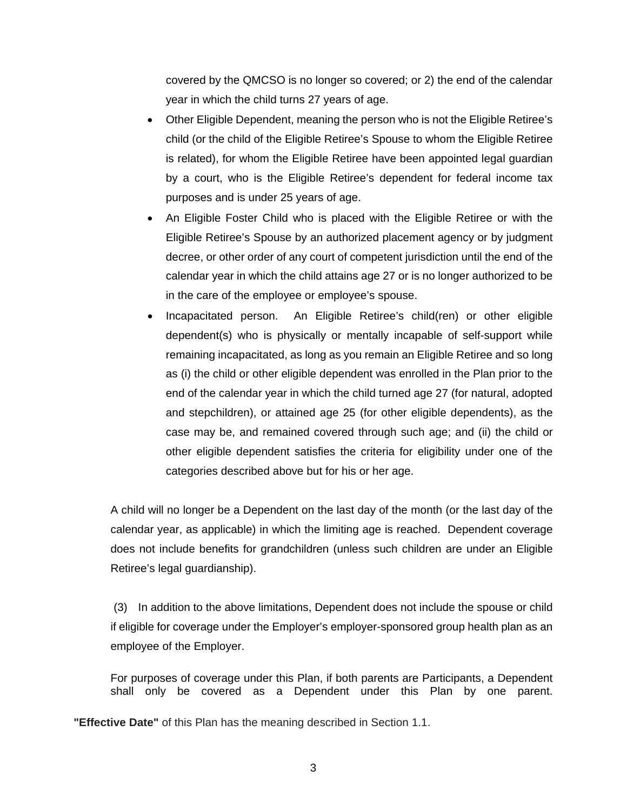covered by the QMCSO is no longer so covered; or 2) the end of the calendar year in which the child turns 27 years of age.

- Other Eligible Dependent, meaning the person who is not the Eligible Retiree's child (or the child of the Eligible Retiree's Spouse to whom the Eligible Retiree is related), for whom the Eligible Retiree have been appointed legal guardian by a court, who is the Eligible Retiree's dependent for federal income tax purposes and is under 25 years of age.
- An Eligible Foster Child who is placed with the Eligible Retiree or with the Eligible Retiree's Spouse by an authorized placement agency or by judgment decree, or other order of any court of competent jurisdiction until the end of the calendar year in which the child attains age 27 or is no longer authorized to be in the care of the employee or employee's spouse.
- Incapacitated person. An Eligible Retiree's child(ren) or other eligible dependent(s) who is physically or mentally incapable of self-support while remaining incapacitated, as long as you remain an Eligible Retiree and so long as (i) the child or other eligible dependent was enrolled in the Plan prior to the end of the calendar year in which the child turned age 27 (for natural, adopted and stepchildren), or attained age 25 (for other eligible dependents), as the case may be, and remained covered through such age; and (ii) the child or other eligible dependent satisfies the criteria for eligibility under one of the categories described above but for his or her age.

A child will no longer be a Dependent on the last day of the month (or the last day of the calendar year, as applicable) in which the limiting age is reached. Dependent coverage does not include benefits for grandchildren (unless such children are under an Eligible Retiree's legal guardianship).

(3) In addition to the above limitations, Dependent does not include the spouse or child if eligible for coverage under the Employer's employer-sponsored group health plan as an employee of the Employer.

For purposes of coverage under this Plan, if both parents are Participants, a Dependent shall only be covered as a Dependent under this Plan by one parent.

**"Effective Date"** of this Plan has the meaning described in Section 1.1.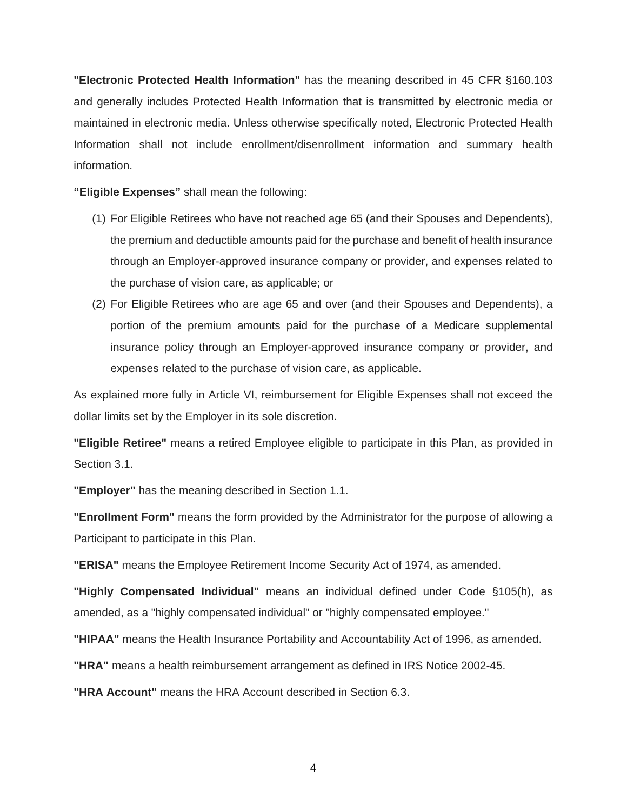**"Electronic Protected Health Information"** has the meaning described in 45 CFR §160.103 and generally includes Protected Health Information that is transmitted by electronic media or maintained in electronic media. Unless otherwise specifically noted, Electronic Protected Health Information shall not include enrollment/disenrollment information and summary health information.

**"Eligible Expenses"** shall mean the following:

- (1) For Eligible Retirees who have not reached age 65 (and their Spouses and Dependents), the premium and deductible amounts paid for the purchase and benefit of health insurance through an Employer-approved insurance company or provider, and expenses related to the purchase of vision care, as applicable; or
- (2) For Eligible Retirees who are age 65 and over (and their Spouses and Dependents), a portion of the premium amounts paid for the purchase of a Medicare supplemental insurance policy through an Employer-approved insurance company or provider, and expenses related to the purchase of vision care, as applicable.

As explained more fully in Article VI, reimbursement for Eligible Expenses shall not exceed the dollar limits set by the Employer in its sole discretion.

**"Eligible Retiree"** means a retired Employee eligible to participate in this Plan, as provided in Section 3.1.

**"Employer"** has the meaning described in Section 1.1.

**"Enrollment Form"** means the form provided by the Administrator for the purpose of allowing a Participant to participate in this Plan.

**"ERISA"** means the Employee Retirement Income Security Act of 1974, as amended.

**"Highly Compensated Individual"** means an individual defined under Code §105(h), as amended, as a "highly compensated individual" or "highly compensated employee."

**"HIPAA"** means the Health Insurance Portability and Accountability Act of 1996, as amended.

**"HRA"** means a health reimbursement arrangement as defined in IRS Notice 2002-45.

**"HRA Account"** means the HRA Account described in Section 6.3.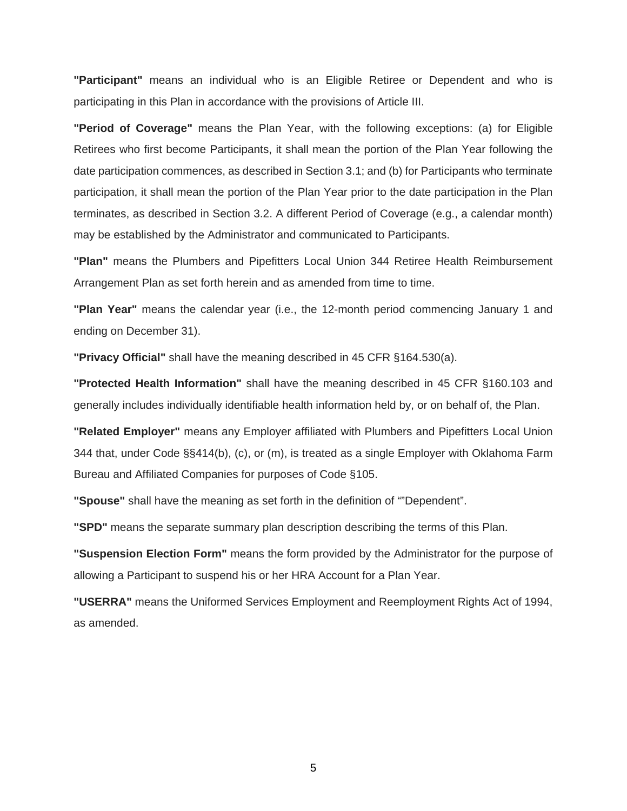**"Participant"** means an individual who is an Eligible Retiree or Dependent and who is participating in this Plan in accordance with the provisions of Article III.

**"Period of Coverage"** means the Plan Year, with the following exceptions: (a) for Eligible Retirees who first become Participants, it shall mean the portion of the Plan Year following the date participation commences, as described in Section 3.1; and (b) for Participants who terminate participation, it shall mean the portion of the Plan Year prior to the date participation in the Plan terminates, as described in Section 3.2. A different Period of Coverage (e.g., a calendar month) may be established by the Administrator and communicated to Participants.

**"Plan"** means the Plumbers and Pipefitters Local Union 344 Retiree Health Reimbursement Arrangement Plan as set forth herein and as amended from time to time.

**"Plan Year"** means the calendar year (i.e., the 12-month period commencing January 1 and ending on December 31).

**"Privacy Official"** shall have the meaning described in 45 CFR §164.530(a).

**"Protected Health Information"** shall have the meaning described in 45 CFR §160.103 and generally includes individually identifiable health information held by, or on behalf of, the Plan.

**"Related Employer"** means any Employer affiliated with Plumbers and Pipefitters Local Union 344 that, under Code §§414(b), (c), or (m), is treated as a single Employer with Oklahoma Farm Bureau and Affiliated Companies for purposes of Code §105.

**"Spouse"** shall have the meaning as set forth in the definition of ""Dependent".

**"SPD"** means the separate summary plan description describing the terms of this Plan.

**"Suspension Election Form"** means the form provided by the Administrator for the purpose of allowing a Participant to suspend his or her HRA Account for a Plan Year.

**"USERRA"** means the Uniformed Services Employment and Reemployment Rights Act of 1994, as amended.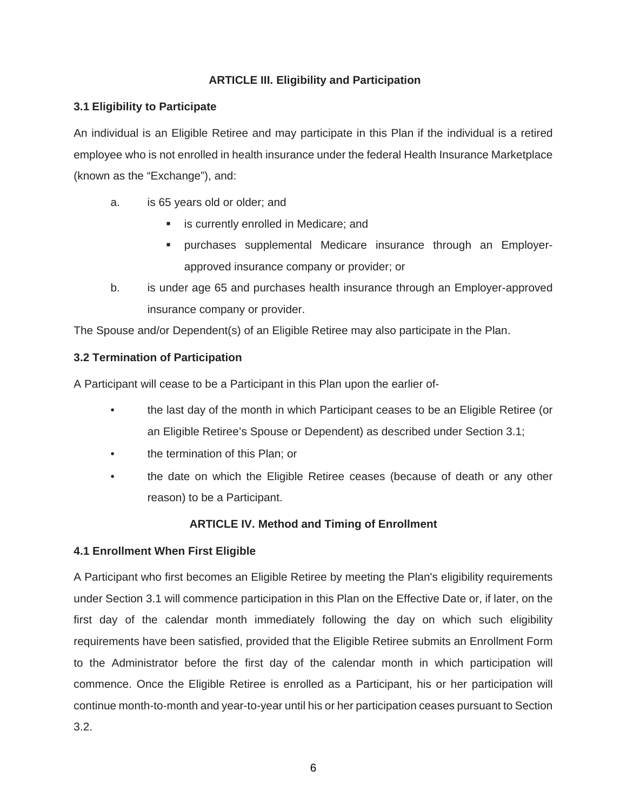# **ARTICLE III. Eligibility and Participation**

# **3.1 Eligibility to Participate**

An individual is an Eligible Retiree and may participate in this Plan if the individual is a retired employee who is not enrolled in health insurance under the federal Health Insurance Marketplace (known as the "Exchange"), and:

- a. is 65 years old or older; and
	- is currently enrolled in Medicare; and
	- purchases supplemental Medicare insurance through an Employerapproved insurance company or provider; or
- b. is under age 65 and purchases health insurance through an Employer-approved insurance company or provider.

The Spouse and/or Dependent(s) of an Eligible Retiree may also participate in the Plan.

# **3.2 Termination of Participation**

A Participant will cease to be a Participant in this Plan upon the earlier of-

- the last day of the month in which Participant ceases to be an Eligible Retiree (or an Eligible Retiree's Spouse or Dependent) as described under Section 3.1;
- the termination of this Plan; or
- the date on which the Eligible Retiree ceases (because of death or any other reason) to be a Participant.

# **ARTICLE IV. Method and Timing of Enrollment**

# **4.1 Enrollment When First Eligible**

A Participant who first becomes an Eligible Retiree by meeting the Plan's eligibility requirements under Section 3.1 will commence participation in this Plan on the Effective Date or, if later, on the first day of the calendar month immediately following the day on which such eligibility requirements have been satisfied, provided that the Eligible Retiree submits an Enrollment Form to the Administrator before the first day of the calendar month in which participation will commence. Once the Eligible Retiree is enrolled as a Participant, his or her participation will continue month-to-month and year-to-year until his or her participation ceases pursuant to Section 3.2.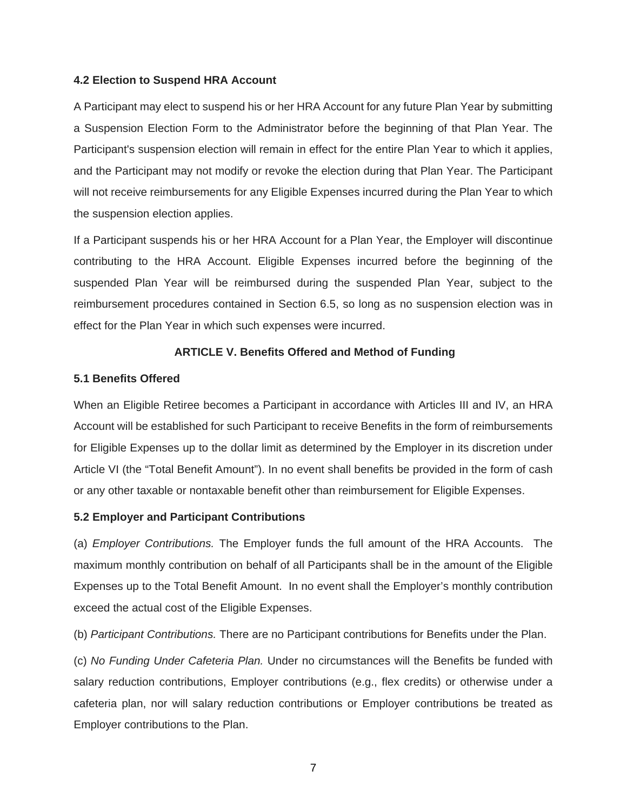#### **4.2 Election to Suspend HRA Account**

A Participant may elect to suspend his or her HRA Account for any future Plan Year by submitting a Suspension Election Form to the Administrator before the beginning of that Plan Year. The Participant's suspension election will remain in effect for the entire Plan Year to which it applies, and the Participant may not modify or revoke the election during that Plan Year. The Participant will not receive reimbursements for any Eligible Expenses incurred during the Plan Year to which the suspension election applies.

If a Participant suspends his or her HRA Account for a Plan Year, the Employer will discontinue contributing to the HRA Account. Eligible Expenses incurred before the beginning of the suspended Plan Year will be reimbursed during the suspended Plan Year, subject to the reimbursement procedures contained in Section 6.5, so long as no suspension election was in effect for the Plan Year in which such expenses were incurred.

#### **ARTICLE V. Benefits Offered and Method of Funding**

#### **5.1 Benefits Offered**

When an Eligible Retiree becomes a Participant in accordance with Articles III and IV, an HRA Account will be established for such Participant to receive Benefits in the form of reimbursements for Eligible Expenses up to the dollar limit as determined by the Employer in its discretion under Article VI (the "Total Benefit Amount"). In no event shall benefits be provided in the form of cash or any other taxable or nontaxable benefit other than reimbursement for Eligible Expenses.

#### **5.2 Employer and Participant Contributions**

(a) *Employer Contributions.* The Employer funds the full amount of the HRA Accounts. The maximum monthly contribution on behalf of all Participants shall be in the amount of the Eligible Expenses up to the Total Benefit Amount. In no event shall the Employer's monthly contribution exceed the actual cost of the Eligible Expenses.

(b) *Participant Contributions.* There are no Participant contributions for Benefits under the Plan.

(c) *No Funding Under Cafeteria Plan.* Under no circumstances will the Benefits be funded with salary reduction contributions, Employer contributions (e.g., flex credits) or otherwise under a cafeteria plan, nor will salary reduction contributions or Employer contributions be treated as Employer contributions to the Plan.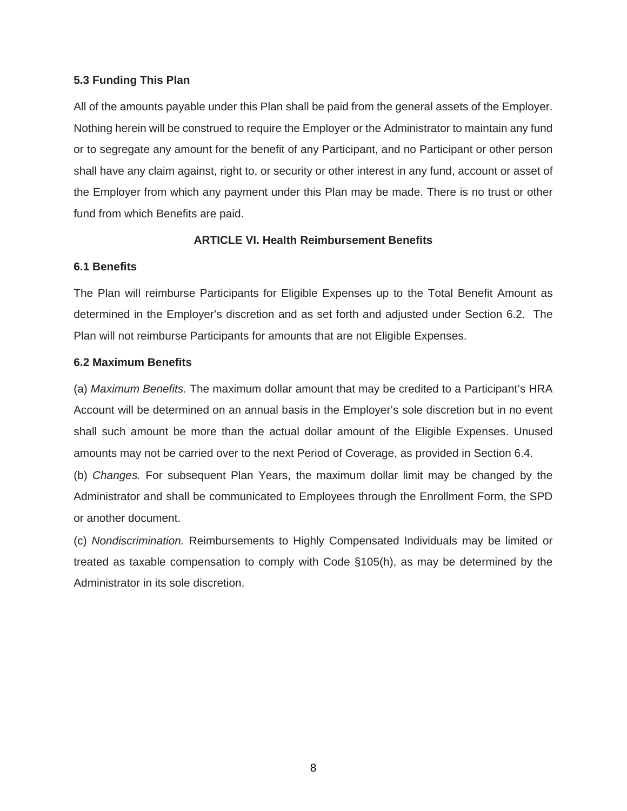# **5.3 Funding This Plan**

All of the amounts payable under this Plan shall be paid from the general assets of the Employer. Nothing herein will be construed to require the Employer or the Administrator to maintain any fund or to segregate any amount for the benefit of any Participant, and no Participant or other person shall have any claim against, right to, or security or other interest in any fund, account or asset of the Employer from which any payment under this Plan may be made. There is no trust or other fund from which Benefits are paid.

# **ARTICLE VI. Health Reimbursement Benefits**

# **6.1 Benefits**

The Plan will reimburse Participants for Eligible Expenses up to the Total Benefit Amount as determined in the Employer's discretion and as set forth and adjusted under Section 6.2. The Plan will not reimburse Participants for amounts that are not Eligible Expenses.

# **6.2 Maximum Benefits**

(a) *Maximum Benefits.* The maximum dollar amount that may be credited to a Participant's HRA Account will be determined on an annual basis in the Employer's sole discretion but in no event shall such amount be more than the actual dollar amount of the Eligible Expenses. Unused amounts may not be carried over to the next Period of Coverage, as provided in Section 6.4.

(b) *Changes.* For subsequent Plan Years, the maximum dollar limit may be changed by the Administrator and shall be communicated to Employees through the Enrollment Form, the SPD or another document.

(c) *Nondiscrimination.* Reimbursements to Highly Compensated Individuals may be limited or treated as taxable compensation to comply with Code §105(h), as may be determined by the Administrator in its sole discretion.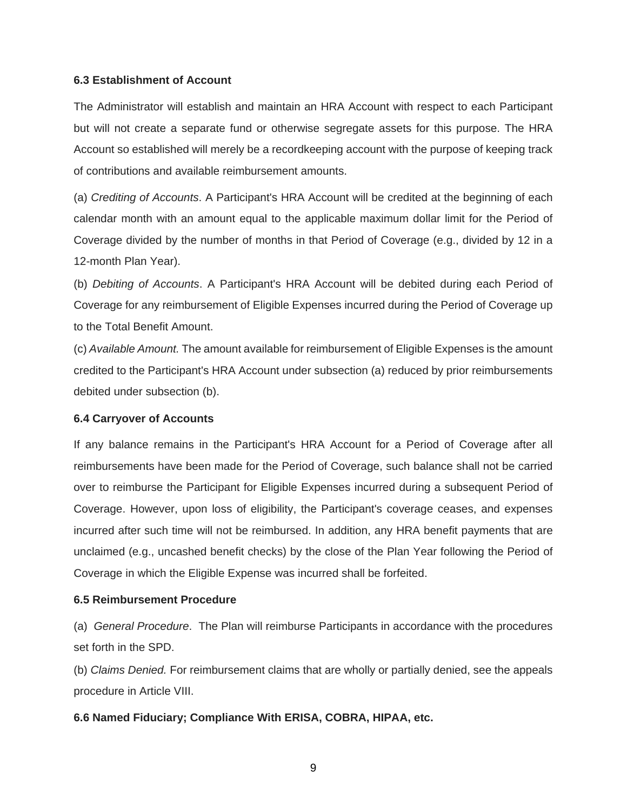#### **6.3 Establishment of Account**

The Administrator will establish and maintain an HRA Account with respect to each Participant but will not create a separate fund or otherwise segregate assets for this purpose. The HRA Account so established will merely be a recordkeeping account with the purpose of keeping track of contributions and available reimbursement amounts.

(a) *Crediting of Accounts*. A Participant's HRA Account will be credited at the beginning of each calendar month with an amount equal to the applicable maximum dollar limit for the Period of Coverage divided by the number of months in that Period of Coverage (e.g., divided by 12 in a 12-month Plan Year).

(b) *Debiting of Accounts*. A Participant's HRA Account will be debited during each Period of Coverage for any reimbursement of Eligible Expenses incurred during the Period of Coverage up to the Total Benefit Amount.

(c) *Available Amount.* The amount available for reimbursement of Eligible Expenses is the amount credited to the Participant's HRA Account under subsection (a) reduced by prior reimbursements debited under subsection (b).

#### **6.4 Carryover of Accounts**

If any balance remains in the Participant's HRA Account for a Period of Coverage after all reimbursements have been made for the Period of Coverage, such balance shall not be carried over to reimburse the Participant for Eligible Expenses incurred during a subsequent Period of Coverage. However, upon loss of eligibility, the Participant's coverage ceases, and expenses incurred after such time will not be reimbursed. In addition, any HRA benefit payments that are unclaimed (e.g., uncashed benefit checks) by the close of the Plan Year following the Period of Coverage in which the Eligible Expense was incurred shall be forfeited.

#### **6.5 Reimbursement Procedure**

(a) *General Procedure*. The Plan will reimburse Participants in accordance with the procedures set forth in the SPD.

(b) *Claims Denied.* For reimbursement claims that are wholly or partially denied, see the appeals procedure in Article VIII.

# **6.6 Named Fiduciary; Compliance With ERISA, COBRA, HIPAA, etc.**

9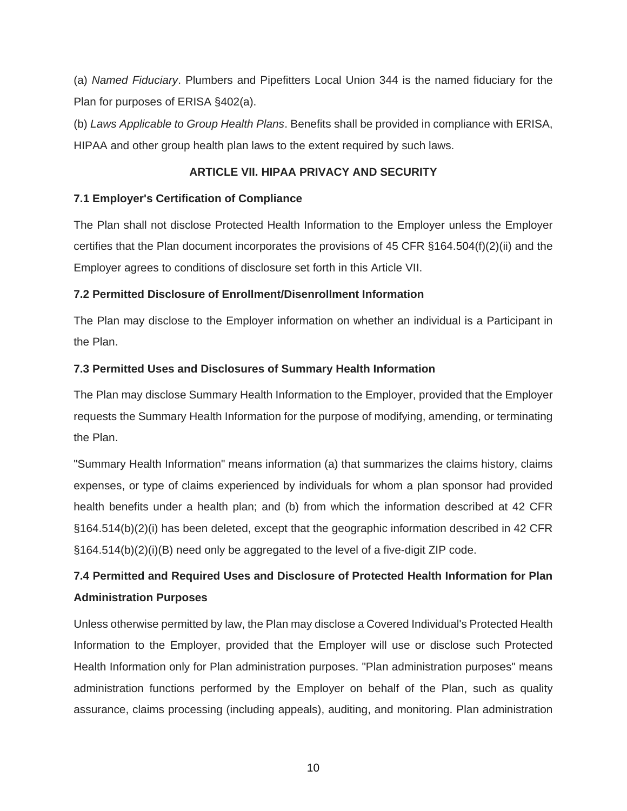(a) *Named Fiduciary*. Plumbers and Pipefitters Local Union 344 is the named fiduciary for the Plan for purposes of ERISA §402(a).

(b) *Laws Applicable to Group Health Plans*. Benefits shall be provided in compliance with ERISA, HIPAA and other group health plan laws to the extent required by such laws.

# **ARTICLE VII. HIPAA PRIVACY AND SECURITY**

# **7.1 Employer's Certification of Compliance**

The Plan shall not disclose Protected Health Information to the Employer unless the Employer certifies that the Plan document incorporates the provisions of 45 CFR §164.504(f)(2)(ii) and the Employer agrees to conditions of disclosure set forth in this Article VII.

# **7.2 Permitted Disclosure of Enrollment/Disenrollment Information**

The Plan may disclose to the Employer information on whether an individual is a Participant in the Plan.

# **7.3 Permitted Uses and Disclosures of Summary Health Information**

The Plan may disclose Summary Health Information to the Employer, provided that the Employer requests the Summary Health Information for the purpose of modifying, amending, or terminating the Plan.

"Summary Health Information" means information (a) that summarizes the claims history, claims expenses, or type of claims experienced by individuals for whom a plan sponsor had provided health benefits under a health plan; and (b) from which the information described at 42 CFR §164.514(b)(2)(i) has been deleted, except that the geographic information described in 42 CFR §164.514(b)(2)(i)(B) need only be aggregated to the level of a five-digit ZIP code.

# **7.4 Permitted and Required Uses and Disclosure of Protected Health Information for Plan Administration Purposes**

Unless otherwise permitted by law, the Plan may disclose a Covered Individual's Protected Health Information to the Employer, provided that the Employer will use or disclose such Protected Health Information only for Plan administration purposes. "Plan administration purposes" means administration functions performed by the Employer on behalf of the Plan, such as quality assurance, claims processing (including appeals), auditing, and monitoring. Plan administration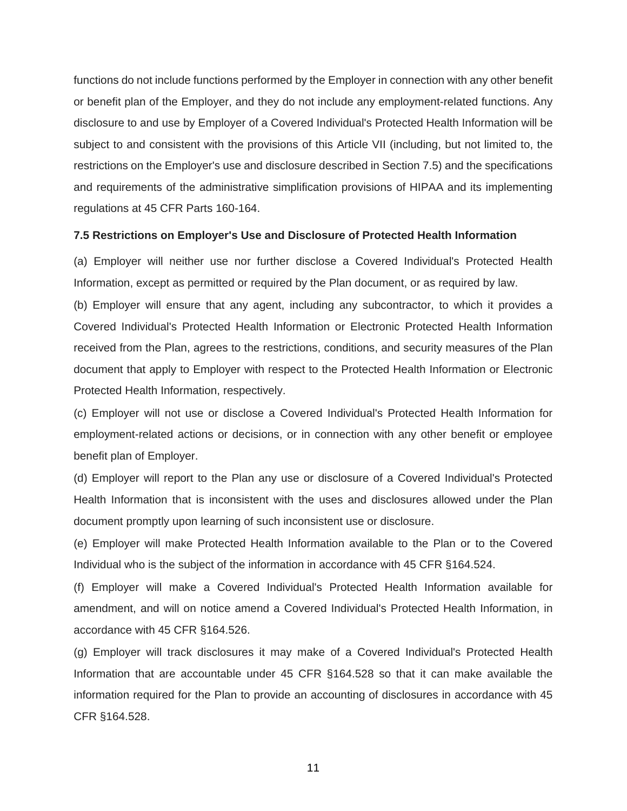functions do not include functions performed by the Employer in connection with any other benefit or benefit plan of the Employer, and they do not include any employment-related functions. Any disclosure to and use by Employer of a Covered Individual's Protected Health Information will be subject to and consistent with the provisions of this Article VII (including, but not limited to, the restrictions on the Employer's use and disclosure described in Section 7.5) and the specifications and requirements of the administrative simplification provisions of HIPAA and its implementing regulations at 45 CFR Parts 160-164.

#### **7.5 Restrictions on Employer's Use and Disclosure of Protected Health Information**

(a) Employer will neither use nor further disclose a Covered Individual's Protected Health Information, except as permitted or required by the Plan document, or as required by law.

(b) Employer will ensure that any agent, including any subcontractor, to which it provides a Covered Individual's Protected Health Information or Electronic Protected Health Information received from the Plan, agrees to the restrictions, conditions, and security measures of the Plan document that apply to Employer with respect to the Protected Health Information or Electronic Protected Health Information, respectively.

(c) Employer will not use or disclose a Covered Individual's Protected Health Information for employment-related actions or decisions, or in connection with any other benefit or employee benefit plan of Employer.

(d) Employer will report to the Plan any use or disclosure of a Covered Individual's Protected Health Information that is inconsistent with the uses and disclosures allowed under the Plan document promptly upon learning of such inconsistent use or disclosure.

(e) Employer will make Protected Health Information available to the Plan or to the Covered Individual who is the subject of the information in accordance with 45 CFR §164.524.

(f) Employer will make a Covered Individual's Protected Health Information available for amendment, and will on notice amend a Covered Individual's Protected Health Information, in accordance with 45 CFR §164.526.

(g) Employer will track disclosures it may make of a Covered Individual's Protected Health Information that are accountable under 45 CFR §164.528 so that it can make available the information required for the Plan to provide an accounting of disclosures in accordance with 45 CFR §164.528.

11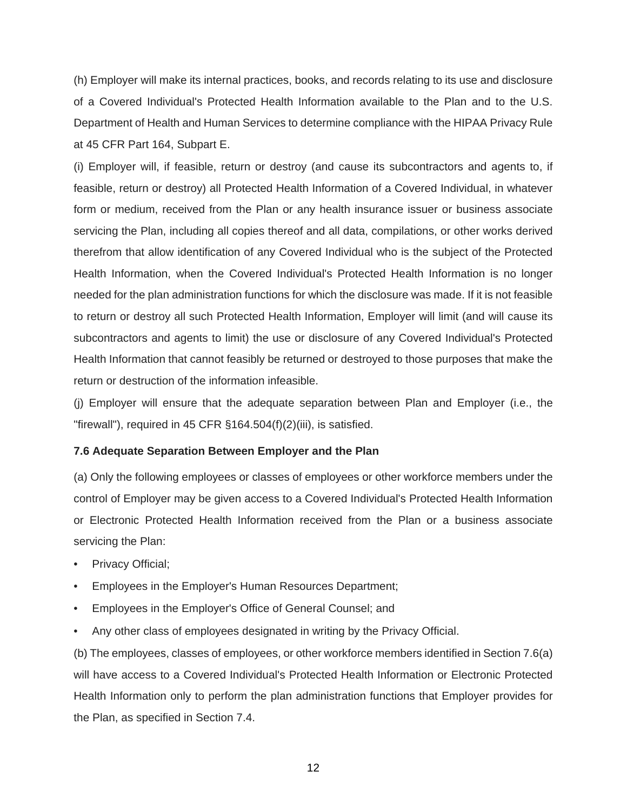(h) Employer will make its internal practices, books, and records relating to its use and disclosure of a Covered Individual's Protected Health Information available to the Plan and to the U.S. Department of Health and Human Services to determine compliance with the HIPAA Privacy Rule at 45 CFR Part 164, Subpart E.

(i) Employer will, if feasible, return or destroy (and cause its subcontractors and agents to, if feasible, return or destroy) all Protected Health Information of a Covered Individual, in whatever form or medium, received from the Plan or any health insurance issuer or business associate servicing the Plan, including all copies thereof and all data, compilations, or other works derived therefrom that allow identification of any Covered Individual who is the subject of the Protected Health Information, when the Covered Individual's Protected Health Information is no longer needed for the plan administration functions for which the disclosure was made. If it is not feasible to return or destroy all such Protected Health Information, Employer will limit (and will cause its subcontractors and agents to limit) the use or disclosure of any Covered Individual's Protected Health Information that cannot feasibly be returned or destroyed to those purposes that make the return or destruction of the information infeasible.

(j) Employer will ensure that the adequate separation between Plan and Employer (i.e., the "firewall"), required in 45 CFR §164.504(f)(2)(iii), is satisfied.

#### **7.6 Adequate Separation Between Employer and the Plan**

(a) Only the following employees or classes of employees or other workforce members under the control of Employer may be given access to a Covered Individual's Protected Health Information or Electronic Protected Health Information received from the Plan or a business associate servicing the Plan:

- Privacy Official;
- Employees in the Employer's Human Resources Department;
- Employees in the Employer's Office of General Counsel; and
- Any other class of employees designated in writing by the Privacy Official.

(b) The employees, classes of employees, or other workforce members identified in Section 7.6(a) will have access to a Covered Individual's Protected Health Information or Electronic Protected Health Information only to perform the plan administration functions that Employer provides for the Plan, as specified in Section 7.4.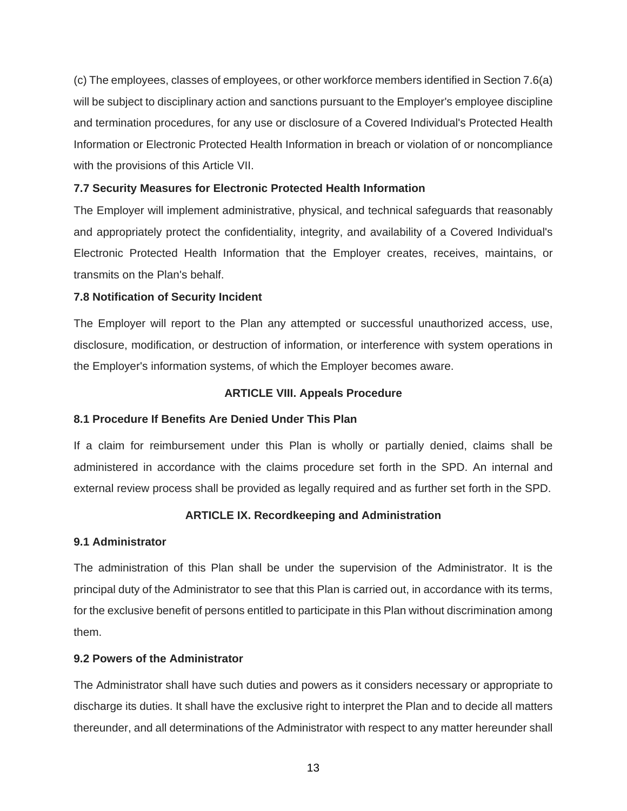(c) The employees, classes of employees, or other workforce members identified in Section 7.6(a) will be subject to disciplinary action and sanctions pursuant to the Employer's employee discipline and termination procedures, for any use or disclosure of a Covered Individual's Protected Health Information or Electronic Protected Health Information in breach or violation of or noncompliance with the provisions of this Article VII.

# **7.7 Security Measures for Electronic Protected Health Information**

The Employer will implement administrative, physical, and technical safeguards that reasonably and appropriately protect the confidentiality, integrity, and availability of a Covered Individual's Electronic Protected Health Information that the Employer creates, receives, maintains, or transmits on the Plan's behalf.

# **7.8 Notification of Security Incident**

The Employer will report to the Plan any attempted or successful unauthorized access, use, disclosure, modification, or destruction of information, or interference with system operations in the Employer's information systems, of which the Employer becomes aware.

# **ARTICLE VIII. Appeals Procedure**

# **8.1 Procedure If Benefits Are Denied Under This Plan**

If a claim for reimbursement under this Plan is wholly or partially denied, claims shall be administered in accordance with the claims procedure set forth in the SPD. An internal and external review process shall be provided as legally required and as further set forth in the SPD.

# **ARTICLE IX. Recordkeeping and Administration**

#### **9.1 Administrator**

The administration of this Plan shall be under the supervision of the Administrator. It is the principal duty of the Administrator to see that this Plan is carried out, in accordance with its terms, for the exclusive benefit of persons entitled to participate in this Plan without discrimination among them.

# **9.2 Powers of the Administrator**

The Administrator shall have such duties and powers as it considers necessary or appropriate to discharge its duties. It shall have the exclusive right to interpret the Plan and to decide all matters thereunder, and all determinations of the Administrator with respect to any matter hereunder shall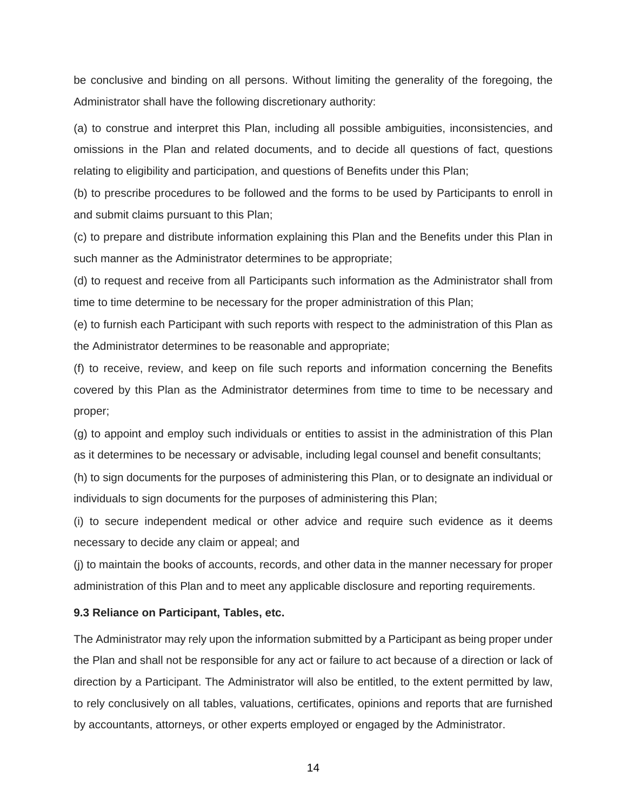be conclusive and binding on all persons. Without limiting the generality of the foregoing, the Administrator shall have the following discretionary authority:

(a) to construe and interpret this Plan, including all possible ambiguities, inconsistencies, and omissions in the Plan and related documents, and to decide all questions of fact, questions relating to eligibility and participation, and questions of Benefits under this Plan;

(b) to prescribe procedures to be followed and the forms to be used by Participants to enroll in and submit claims pursuant to this Plan;

(c) to prepare and distribute information explaining this Plan and the Benefits under this Plan in such manner as the Administrator determines to be appropriate;

(d) to request and receive from all Participants such information as the Administrator shall from time to time determine to be necessary for the proper administration of this Plan;

(e) to furnish each Participant with such reports with respect to the administration of this Plan as the Administrator determines to be reasonable and appropriate;

(f) to receive, review, and keep on file such reports and information concerning the Benefits covered by this Plan as the Administrator determines from time to time to be necessary and proper;

(g) to appoint and employ such individuals or entities to assist in the administration of this Plan as it determines to be necessary or advisable, including legal counsel and benefit consultants;

(h) to sign documents for the purposes of administering this Plan, or to designate an individual or individuals to sign documents for the purposes of administering this Plan;

(i) to secure independent medical or other advice and require such evidence as it deems necessary to decide any claim or appeal; and

(j) to maintain the books of accounts, records, and other data in the manner necessary for proper administration of this Plan and to meet any applicable disclosure and reporting requirements.

#### **9.3 Reliance on Participant, Tables, etc.**

The Administrator may rely upon the information submitted by a Participant as being proper under the Plan and shall not be responsible for any act or failure to act because of a direction or lack of direction by a Participant. The Administrator will also be entitled, to the extent permitted by law, to rely conclusively on all tables, valuations, certificates, opinions and reports that are furnished by accountants, attorneys, or other experts employed or engaged by the Administrator.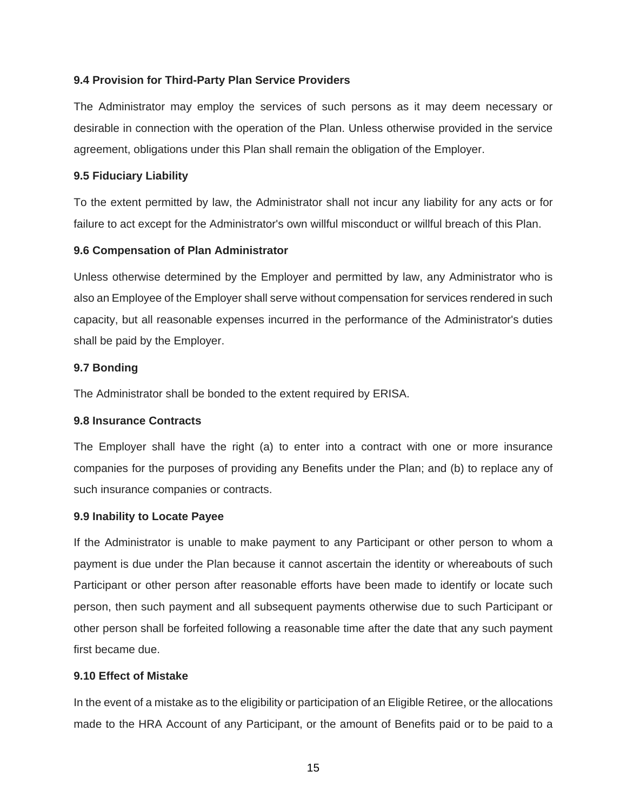# **9.4 Provision for Third-Party Plan Service Providers**

The Administrator may employ the services of such persons as it may deem necessary or desirable in connection with the operation of the Plan. Unless otherwise provided in the service agreement, obligations under this Plan shall remain the obligation of the Employer.

#### **9.5 Fiduciary Liability**

To the extent permitted by law, the Administrator shall not incur any liability for any acts or for failure to act except for the Administrator's own willful misconduct or willful breach of this Plan.

# **9.6 Compensation of Plan Administrator**

Unless otherwise determined by the Employer and permitted by law, any Administrator who is also an Employee of the Employer shall serve without compensation for services rendered in such capacity, but all reasonable expenses incurred in the performance of the Administrator's duties shall be paid by the Employer.

#### **9.7 Bonding**

The Administrator shall be bonded to the extent required by ERISA.

#### **9.8 Insurance Contracts**

The Employer shall have the right (a) to enter into a contract with one or more insurance companies for the purposes of providing any Benefits under the Plan; and (b) to replace any of such insurance companies or contracts.

#### **9.9 Inability to Locate Payee**

If the Administrator is unable to make payment to any Participant or other person to whom a payment is due under the Plan because it cannot ascertain the identity or whereabouts of such Participant or other person after reasonable efforts have been made to identify or locate such person, then such payment and all subsequent payments otherwise due to such Participant or other person shall be forfeited following a reasonable time after the date that any such payment first became due.

# **9.10 Effect of Mistake**

In the event of a mistake as to the eligibility or participation of an Eligible Retiree, or the allocations made to the HRA Account of any Participant, or the amount of Benefits paid or to be paid to a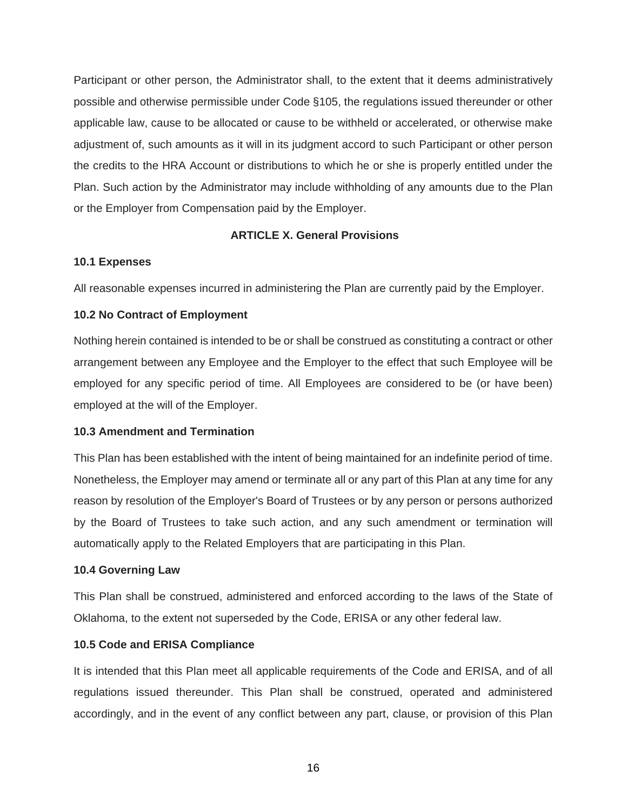Participant or other person, the Administrator shall, to the extent that it deems administratively possible and otherwise permissible under Code §105, the regulations issued thereunder or other applicable law, cause to be allocated or cause to be withheld or accelerated, or otherwise make adjustment of, such amounts as it will in its judgment accord to such Participant or other person the credits to the HRA Account or distributions to which he or she is properly entitled under the Plan. Such action by the Administrator may include withholding of any amounts due to the Plan or the Employer from Compensation paid by the Employer.

# **ARTICLE X. General Provisions**

# **10.1 Expenses**

All reasonable expenses incurred in administering the Plan are currently paid by the Employer.

# **10.2 No Contract of Employment**

Nothing herein contained is intended to be or shall be construed as constituting a contract or other arrangement between any Employee and the Employer to the effect that such Employee will be employed for any specific period of time. All Employees are considered to be (or have been) employed at the will of the Employer.

#### **10.3 Amendment and Termination**

This Plan has been established with the intent of being maintained for an indefinite period of time. Nonetheless, the Employer may amend or terminate all or any part of this Plan at any time for any reason by resolution of the Employer's Board of Trustees or by any person or persons authorized by the Board of Trustees to take such action, and any such amendment or termination will automatically apply to the Related Employers that are participating in this Plan.

# **10.4 Governing Law**

This Plan shall be construed, administered and enforced according to the laws of the State of Oklahoma, to the extent not superseded by the Code, ERISA or any other federal law.

#### **10.5 Code and ERISA Compliance**

It is intended that this Plan meet all applicable requirements of the Code and ERISA, and of all regulations issued thereunder. This Plan shall be construed, operated and administered accordingly, and in the event of any conflict between any part, clause, or provision of this Plan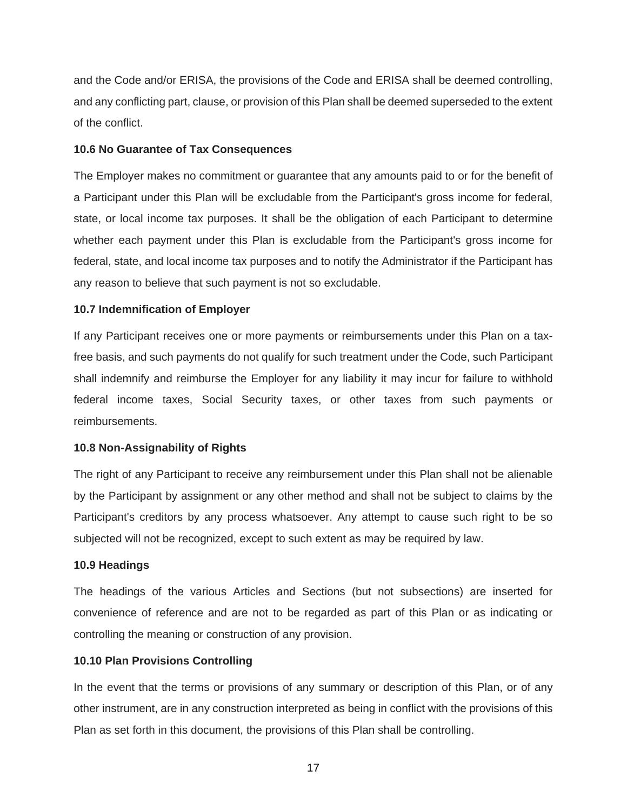and the Code and/or ERISA, the provisions of the Code and ERISA shall be deemed controlling, and any conflicting part, clause, or provision of this Plan shall be deemed superseded to the extent of the conflict.

# **10.6 No Guarantee of Tax Consequences**

The Employer makes no commitment or guarantee that any amounts paid to or for the benefit of a Participant under this Plan will be excludable from the Participant's gross income for federal, state, or local income tax purposes. It shall be the obligation of each Participant to determine whether each payment under this Plan is excludable from the Participant's gross income for federal, state, and local income tax purposes and to notify the Administrator if the Participant has any reason to believe that such payment is not so excludable.

# **10.7 Indemnification of Employer**

If any Participant receives one or more payments or reimbursements under this Plan on a taxfree basis, and such payments do not qualify for such treatment under the Code, such Participant shall indemnify and reimburse the Employer for any liability it may incur for failure to withhold federal income taxes, Social Security taxes, or other taxes from such payments or reimbursements.

# **10.8 Non-Assignability of Rights**

The right of any Participant to receive any reimbursement under this Plan shall not be alienable by the Participant by assignment or any other method and shall not be subject to claims by the Participant's creditors by any process whatsoever. Any attempt to cause such right to be so subjected will not be recognized, except to such extent as may be required by law.

#### **10.9 Headings**

The headings of the various Articles and Sections (but not subsections) are inserted for convenience of reference and are not to be regarded as part of this Plan or as indicating or controlling the meaning or construction of any provision.

#### **10.10 Plan Provisions Controlling**

In the event that the terms or provisions of any summary or description of this Plan, or of any other instrument, are in any construction interpreted as being in conflict with the provisions of this Plan as set forth in this document, the provisions of this Plan shall be controlling.

17